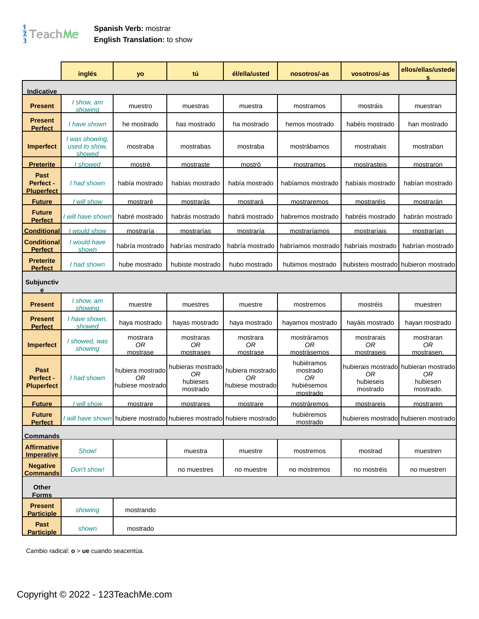## $\frac{1}{3}$ TeachMe

## **Spanish Verb:** mostrar **English Translation:** to show

|                                         | inglés                                    | yo                                         | tú                                                                    | él/ella/usted                               | nosotros/-as                                           | vosotros/-as                         | ellos/ellas/ustede<br>s                                             |
|-----------------------------------------|-------------------------------------------|--------------------------------------------|-----------------------------------------------------------------------|---------------------------------------------|--------------------------------------------------------|--------------------------------------|---------------------------------------------------------------------|
| Indicative                              |                                           |                                            |                                                                       |                                             |                                                        |                                      |                                                                     |
| <b>Present</b>                          | I show, am<br>showing                     | muestro                                    | muestras                                                              | muestra                                     | mostramos                                              | mostráis                             | muestran                                                            |
| <b>Present</b><br><b>Perfect</b>        | I have shown                              | he mostrado                                | has mostrado                                                          | ha mostrado                                 | hemos mostrado                                         | habéis mostrado                      | han mostrado                                                        |
| <b>Imperfect</b>                        | I was showing,<br>used to show.<br>showed | mostraba                                   | mostrabas                                                             | mostraba                                    | mostrábamos                                            | mostrabais                           | mostraban                                                           |
| <u>Preterite</u>                        | <u>I showed</u>                           | mostré                                     | mostraste                                                             | mostró                                      | mostramos                                              | mostrasteis                          | mostraron                                                           |
| Past<br>Perfect -<br><b>Pluperfect</b>  | I had shown                               | había mostrado                             | habías mostrado                                                       | había mostrado                              | habíamos mostrado                                      | habíais mostrado                     | habían mostrado                                                     |
| <b>Future</b>                           | I will show                               | mostraré                                   | mostrarás                                                             | <u>mostrará</u>                             | mostraremos                                            | <u>mostraréis</u>                    | <u>mostrarán</u>                                                    |
| <b>Future</b><br><b>Perfect</b>         | I will have shown                         | habré mostrado                             | habrás mostrado                                                       | habrá mostrado                              | habremos mostrado                                      | habréis mostrado                     | habrán mostrado                                                     |
| <b>Conditional</b>                      | would show                                | <u>mostraría</u>                           | <u>mostrarías</u>                                                     | mostraría                                   | mostraríamos                                           | mostraríais                          | mostrarían                                                          |
| Conditional<br><b>Perfect</b>           | I would have<br>shown                     | habría mostrado                            | habrías mostrado                                                      | habría mostrado                             | habríamos mostrado                                     | habríais mostrado                    | habrían mostrado                                                    |
| <b>Preterite</b><br><b>Perfect</b>      | I had shown                               | hube mostrado                              | hubiste mostrado                                                      | hubo mostrado                               | hubimos mostrado                                       | hubisteis mostrado hubieron mostrado |                                                                     |
| Subjunctiv<br>e                         |                                           |                                            |                                                                       |                                             |                                                        |                                      |                                                                     |
| <b>Present</b>                          | I show, am<br>showina                     | muestre                                    | muestres                                                              | muestre                                     | mostremos                                              | mostréis                             | muestren                                                            |
| <b>Present</b><br><b>Perfect</b>        | I have shown,<br>showed                   | haya mostrado                              | hayas mostrado                                                        | haya mostrado                               | hayamos mostrado                                       | hayáis mostrado                      | hayan mostrado                                                      |
| Imperfect                               | I showed, was<br>showing                  | mostrara<br>0R<br>mostrase                 | mostraras<br>0R<br>mostrases                                          | mostrara<br>0R<br>mostrase                  | mostráramos<br>0R<br>mostràsemos                       | mostrarais<br>0R<br>mostraseis       | mostraran<br>0R<br>mostrasen.                                       |
| Past<br>Perfect -<br><b>Pluperfect</b>  | I had shown                               | hubiera mostrado<br>0R<br>hubiese mostrado | hubieras mostrado<br>0R<br>hubieses<br>mostrado                       | hubiera mostrado<br>0R<br>hubiese mostradol | hubiéramos<br>mostrado<br>0R<br>hubièsemos<br>mostrado | 0R<br>hubieseis<br>mostrado          | hubierais mostrado hubieran mostrado<br>0R<br>hubiesen<br>mostrado. |
| <u>Future</u>                           | I will show                               | mostrare                                   | mostrares                                                             | mostrare                                    | mostráremos                                            | mostrareis                           | mostraren                                                           |
| <b>Future</b><br><b>Perfect</b>         |                                           |                                            | I will have shown hubiere mostrado hubieres mostrado hubiere mostrado |                                             | hubiéremos<br>mostrado                                 | hubiereis mostrado hubieren mostrado |                                                                     |
| <b>Commands</b>                         |                                           |                                            |                                                                       |                                             |                                                        |                                      |                                                                     |
| <b>Affirmative</b><br><b>Imperative</b> | Show!                                     |                                            | muestra                                                               | muestre                                     | mostremos                                              | mostrad                              | muestren                                                            |
| <b>Negative</b><br><b>Commands</b>      | Don't show!                               |                                            | no muestres                                                           | no muestre                                  | no mostremos                                           | no mostréis                          | no muestren                                                         |
| Other<br><b>Forms</b>                   |                                           |                                            |                                                                       |                                             |                                                        |                                      |                                                                     |
| <b>Present</b><br><b>Participle</b>     | showing                                   | mostrando                                  |                                                                       |                                             |                                                        |                                      |                                                                     |
| Past<br><b>Participle</b>               | shown                                     | mostrado                                   |                                                                       |                                             |                                                        |                                      |                                                                     |

Cambio radical: **o** > **ue** cuando seacentùa.